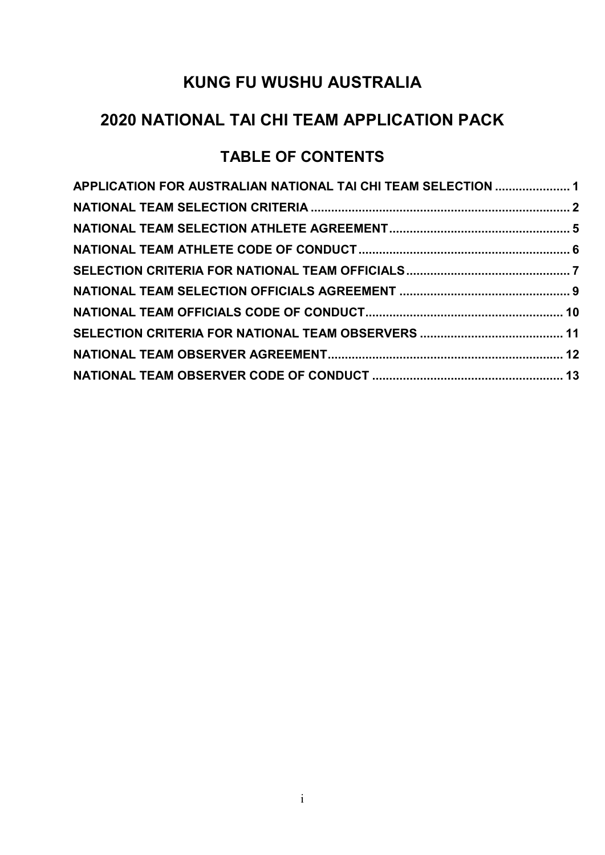# **2020 NATIONAL TAI CHI TEAM APPLICATION PACK**

# **TABLE OF CONTENTS**

| APPLICATION FOR AUSTRALIAN NATIONAL TAI CHI TEAM SELECTION  1 |  |
|---------------------------------------------------------------|--|
|                                                               |  |
|                                                               |  |
|                                                               |  |
|                                                               |  |
|                                                               |  |
|                                                               |  |
|                                                               |  |
|                                                               |  |
|                                                               |  |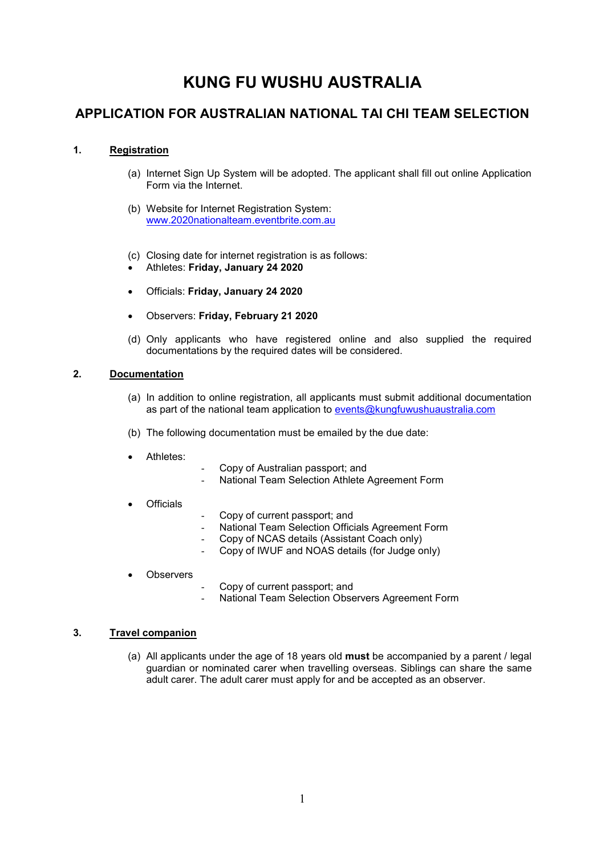## **APPLICATION FOR AUSTRALIAN NATIONAL TAI CHI TEAM SELECTION**

### **1. Registration**

- (a) Internet Sign Up System will be adopted. The applicant shall fill out online Application Form via the Internet.
- (b) Website for Internet Registration System: www.2020nationalteam.eventbrite.com.au
- (c) Closing date for internet registration is as follows:
- Athletes: **Friday, January 24 2020**
- Officials: **Friday, January 24 2020**
- Observers: **Friday, February 21 2020**
- (d) Only applicants who have registered online and also supplied the required documentations by the required dates will be considered.

#### **2. Documentation**

- (a) In addition to online registration, all applicants must submit additional documentation as part of the national team application to events@kungfuwushuaustralia.com
- (b) The following documentation must be emailed by the due date:
- Athletes:
- Copy of Australian passport; and
- National Team Selection Athlete Agreement Form
- **Officials**
- Copy of current passport; and
- National Team Selection Officials Agreement Form
- Copy of NCAS details (Assistant Coach only)
- Copy of IWUF and NOAS details (for Judge only)
- **Observers**
- Copy of current passport; and
- National Team Selection Observers Agreement Form

### **3. Travel companion**

(a) All applicants under the age of 18 years old **must** be accompanied by a parent / legal guardian or nominated carer when travelling overseas. Siblings can share the same adult carer. The adult carer must apply for and be accepted as an observer.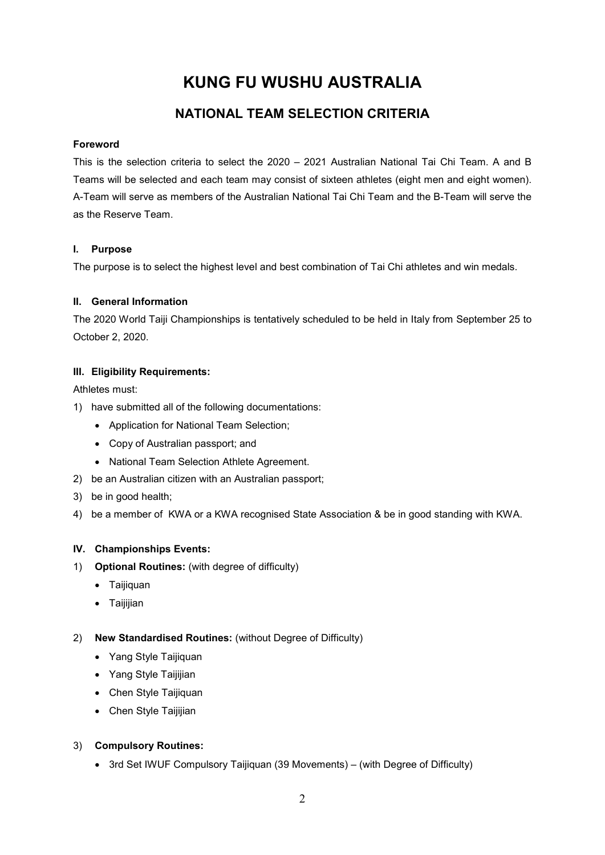## **NATIONAL TEAM SELECTION CRITERIA**

### **Foreword**

This is the selection criteria to select the 2020 – 2021 Australian National Tai Chi Team. A and B Teams will be selected and each team may consist of sixteen athletes (eight men and eight women). A-Team will serve as members of the Australian National Tai Chi Team and the B-Team will serve the as the Reserve Team.

### **I. Purpose**

The purpose is to select the highest level and best combination of Tai Chi athletes and win medals.

## **II. General Information**

The 2020 World Taiji Championships is tentatively scheduled to be held in Italy from September 25 to October 2, 2020.

### **III. Eligibility Requirements:**

### Athletes must:

- 1) have submitted all of the following documentations:
	- Application for National Team Selection;
	- Copy of Australian passport; and
	- National Team Selection Athlete Agreement.
- 2) be an Australian citizen with an Australian passport;
- 3) be in good health;
- 4) be a member of KWA or a KWA recognised State Association & be in good standing with KWA.

## **IV. Championships Events:**

- 1) **Optional Routines:** (with degree of difficulty)
	- Taijiquan
	- Taijijian

## 2) **New Standardised Routines:** (without Degree of Difficulty)

- Yang Style Taijiquan
- Yang Style Taijijian
- Chen Style Taijiquan
- Chen Style Taijijian

## 3) **Compulsory Routines:**

• 3rd Set IWUF Compulsory Taijiquan (39 Movements) – (with Degree of Difficulty)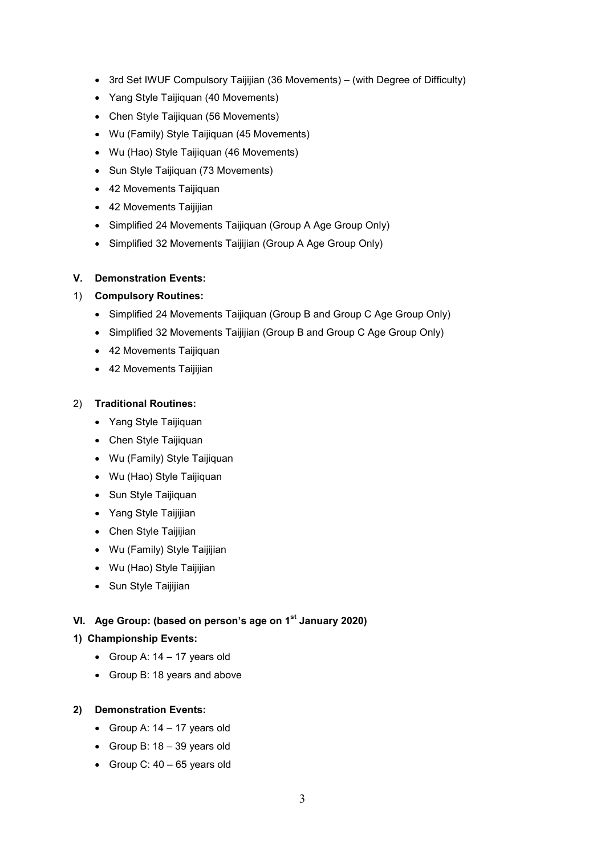- 3rd Set IWUF Compulsory Taijijian (36 Movements) (with Degree of Difficulty)
- Yang Style Taijiquan (40 Movements)
- Chen Style Taijiquan (56 Movements)
- Wu (Family) Style Taijiquan (45 Movements)
- Wu (Hao) Style Taijiquan (46 Movements)
- Sun Style Taijiquan (73 Movements)
- 42 Movements Taijiquan
- 42 Movements Taijijian
- Simplified 24 Movements Taijiquan (Group A Age Group Only)
- Simplified 32 Movements Taijijian (Group A Age Group Only)

### **V. Demonstration Events:**

### 1) **Compulsory Routines:**

- Simplified 24 Movements Taijiquan (Group B and Group C Age Group Only)
- Simplified 32 Movements Taijijian (Group B and Group C Age Group Only)
- 42 Movements Taijiquan
- 42 Movements Taijijian

### 2) **Traditional Routines:**

- Yang Style Taijiquan
- Chen Style Taijiquan
- Wu (Family) Style Taijiquan
- Wu (Hao) Style Taijiquan
- Sun Style Taijiquan
- Yang Style Taijijian
- Chen Style Taijijian
- Wu (Family) Style Taijijian
- Wu (Hao) Style Taijijian
- Sun Style Taijijian

## **VI. Age Group: (based on person's age on 1st January 2020)**

### **1) Championship Events:**

- Group A:  $14 17$  years old
- Group B: 18 years and above

### **2) Demonstration Events:**

- Group A:  $14 17$  years old
- Group B: 18 39 years old
- Group C:  $40 65$  years old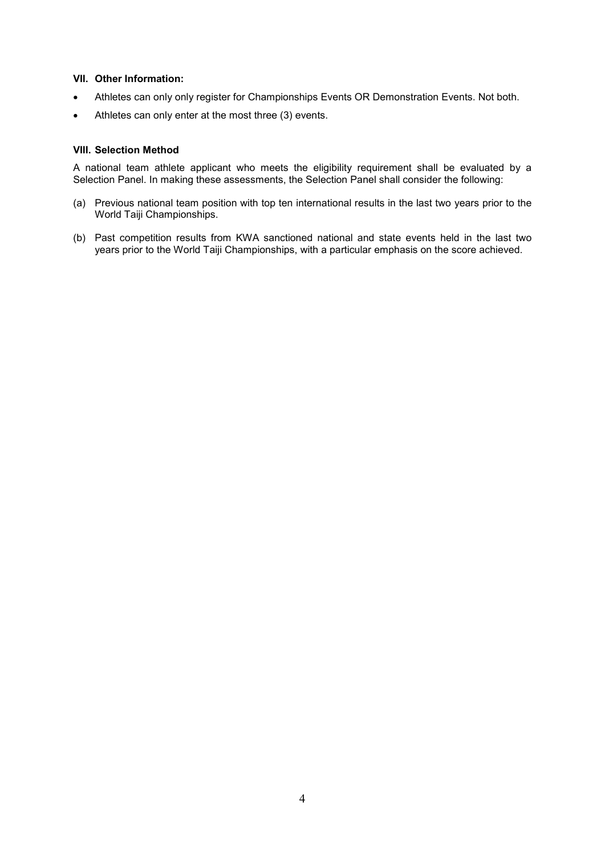#### **VII. Other Information:**

- Athletes can only only register for Championships Events OR Demonstration Events. Not both.
- Athletes can only enter at the most three (3) events.

#### **VIII. Selection Method**

A national team athlete applicant who meets the eligibility requirement shall be evaluated by a Selection Panel. In making these assessments, the Selection Panel shall consider the following:

- (a) Previous national team position with top ten international results in the last two years prior to the World Taiji Championships.
- (b) Past competition results from KWA sanctioned national and state events held in the last two years prior to the World Taiji Championships, with a particular emphasis on the score achieved.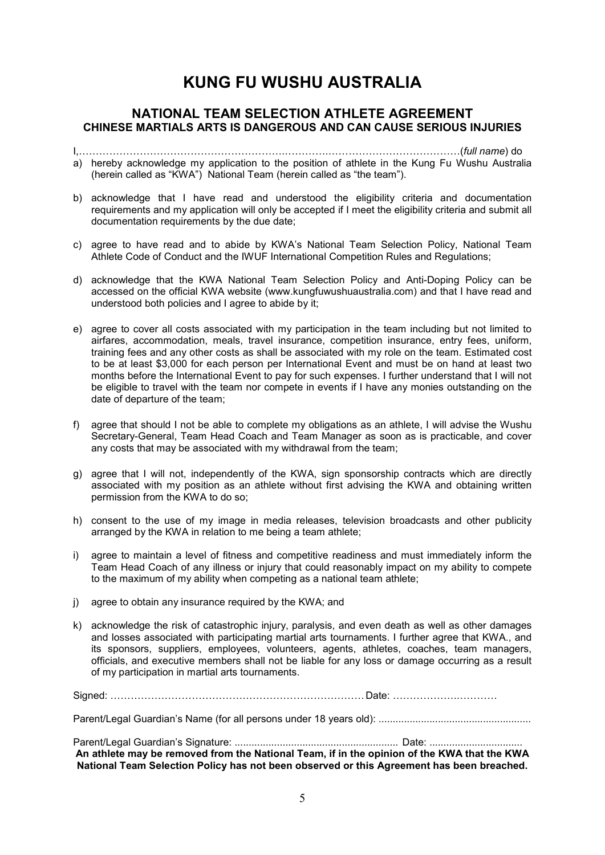## **NATIONAL TEAM SELECTION ATHLETE AGREEMENT CHINESE MARTIALS ARTS IS DANGEROUS AND CAN CAUSE SERIOUS INJURIES**

I,FFFFFFFFFFFFFFFFFFFF.FFFF.FFFFFFFFFFFFF(*full name*) do a) hereby acknowledge my application to the position of athlete in the Kung Fu Wushu Australia (herein called as "KWA") National Team (herein called as "the team").

- b) acknowledge that I have read and understood the eligibility criteria and documentation requirements and my application will only be accepted if I meet the eligibility criteria and submit all documentation requirements by the due date;
- c) agree to have read and to abide by KWA's National Team Selection Policy, National Team Athlete Code of Conduct and the IWUF International Competition Rules and Regulations;
- d) acknowledge that the KWA National Team Selection Policy and Anti-Doping Policy can be accessed on the official KWA website (www.kungfuwushuaustralia.com) and that I have read and understood both policies and I agree to abide by it;
- e) agree to cover all costs associated with my participation in the team including but not limited to airfares, accommodation, meals, travel insurance, competition insurance, entry fees, uniform, training fees and any other costs as shall be associated with my role on the team. Estimated cost to be at least \$3,000 for each person per International Event and must be on hand at least two months before the International Event to pay for such expenses. I further understand that I will not be eligible to travel with the team nor compete in events if I have any monies outstanding on the date of departure of the team;
- f) agree that should I not be able to complete my obligations as an athlete, I will advise the Wushu Secretary-General, Team Head Coach and Team Manager as soon as is practicable, and cover any costs that may be associated with my withdrawal from the team;
- g) agree that I will not, independently of the KWA, sign sponsorship contracts which are directly associated with my position as an athlete without first advising the KWA and obtaining written permission from the KWA to do so;
- h) consent to the use of my image in media releases, television broadcasts and other publicity arranged by the KWA in relation to me being a team athlete;
- i) agree to maintain a level of fitness and competitive readiness and must immediately inform the Team Head Coach of any illness or injury that could reasonably impact on my ability to compete to the maximum of my ability when competing as a national team athlete;
- j) agree to obtain any insurance required by the KWA; and
- k) acknowledge the risk of catastrophic injury, paralysis, and even death as well as other damages and losses associated with participating martial arts tournaments. I further agree that KWA., and its sponsors, suppliers, employees, volunteers, agents, athletes, coaches, team managers, officials, and executive members shall not be liable for any loss or damage occurring as a result of my participation in martial arts tournaments.

Signed: FFFFFFFFFFFFFFFFFFFFFFFFF Date: FFFFFF.FFFF

Parent/Legal Guardian's Name (for all persons under 18 years old): ......................................................

Parent/Legal Guardian's Signature: .......................................................... Date: ................................. **An athlete may be removed from the National Team, if in the opinion of the KWA that the KWA National Team Selection Policy has not been observed or this Agreement has been breached.**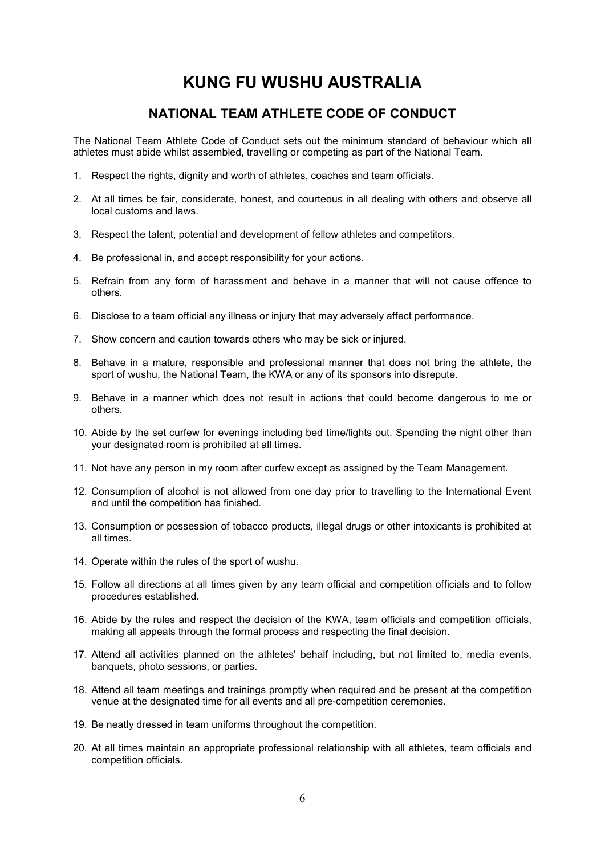## **NATIONAL TEAM ATHLETE CODE OF CONDUCT**

The National Team Athlete Code of Conduct sets out the minimum standard of behaviour which all athletes must abide whilst assembled, travelling or competing as part of the National Team.

- 1. Respect the rights, dignity and worth of athletes, coaches and team officials.
- 2. At all times be fair, considerate, honest, and courteous in all dealing with others and observe all local customs and laws.
- 3. Respect the talent, potential and development of fellow athletes and competitors.
- 4. Be professional in, and accept responsibility for your actions.
- 5. Refrain from any form of harassment and behave in a manner that will not cause offence to others.
- 6. Disclose to a team official any illness or injury that may adversely affect performance.
- 7. Show concern and caution towards others who may be sick or injured.
- 8. Behave in a mature, responsible and professional manner that does not bring the athlete, the sport of wushu, the National Team, the KWA or any of its sponsors into disrepute.
- 9. Behave in a manner which does not result in actions that could become dangerous to me or others.
- 10. Abide by the set curfew for evenings including bed time/lights out. Spending the night other than your designated room is prohibited at all times.
- 11. Not have any person in my room after curfew except as assigned by the Team Management.
- 12. Consumption of alcohol is not allowed from one day prior to travelling to the International Event and until the competition has finished.
- 13. Consumption or possession of tobacco products, illegal drugs or other intoxicants is prohibited at all times.
- 14. Operate within the rules of the sport of wushu.
- 15. Follow all directions at all times given by any team official and competition officials and to follow procedures established.
- 16. Abide by the rules and respect the decision of the KWA, team officials and competition officials, making all appeals through the formal process and respecting the final decision.
- 17. Attend all activities planned on the athletes' behalf including, but not limited to, media events, banquets, photo sessions, or parties.
- 18. Attend all team meetings and trainings promptly when required and be present at the competition venue at the designated time for all events and all pre-competition ceremonies.
- 19. Be neatly dressed in team uniforms throughout the competition.
- 20. At all times maintain an appropriate professional relationship with all athletes, team officials and competition officials.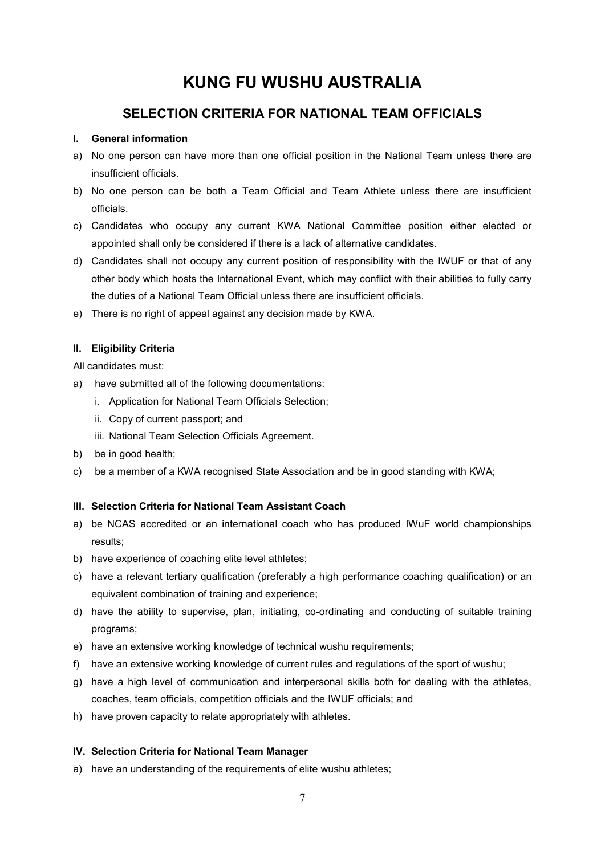## **SELECTION CRITERIA FOR NATIONAL TEAM OFFICIALS**

### **I. General information**

- a) No one person can have more than one official position in the National Team unless there are insufficient officials.
- b) No one person can be both a Team Official and Team Athlete unless there are insufficient officials.
- c) Candidates who occupy any current KWA National Committee position either elected or appointed shall only be considered if there is a lack of alternative candidates.
- d) Candidates shall not occupy any current position of responsibility with the IWUF or that of any other body which hosts the International Event, which may conflict with their abilities to fully carry the duties of a National Team Official unless there are insufficient officials.
- e) There is no right of appeal against any decision made by KWA.

### **II. Eligibility Criteria**

All candidates must:

- a) have submitted all of the following documentations:
	- i. Application for National Team Officials Selection;
	- ii. Copy of current passport; and
	- iii. National Team Selection Officials Agreement.
- b) be in good health;
- c) be a member of a KWA recognised State Association and be in good standing with KWA;

### **III. Selection Criteria for National Team Assistant Coach**

- a) be NCAS accredited or an international coach who has produced IWuF world championships results;
- b) have experience of coaching elite level athletes;
- c) have a relevant tertiary qualification (preferably a high performance coaching qualification) or an equivalent combination of training and experience;
- d) have the ability to supervise, plan, initiating, co-ordinating and conducting of suitable training programs;
- e) have an extensive working knowledge of technical wushu requirements;
- f) have an extensive working knowledge of current rules and regulations of the sport of wushu;
- g) have a high level of communication and interpersonal skills both for dealing with the athletes, coaches, team officials, competition officials and the IWUF officials; and
- h) have proven capacity to relate appropriately with athletes.

### **IV. Selection Criteria for National Team Manager**

a) have an understanding of the requirements of elite wushu athletes;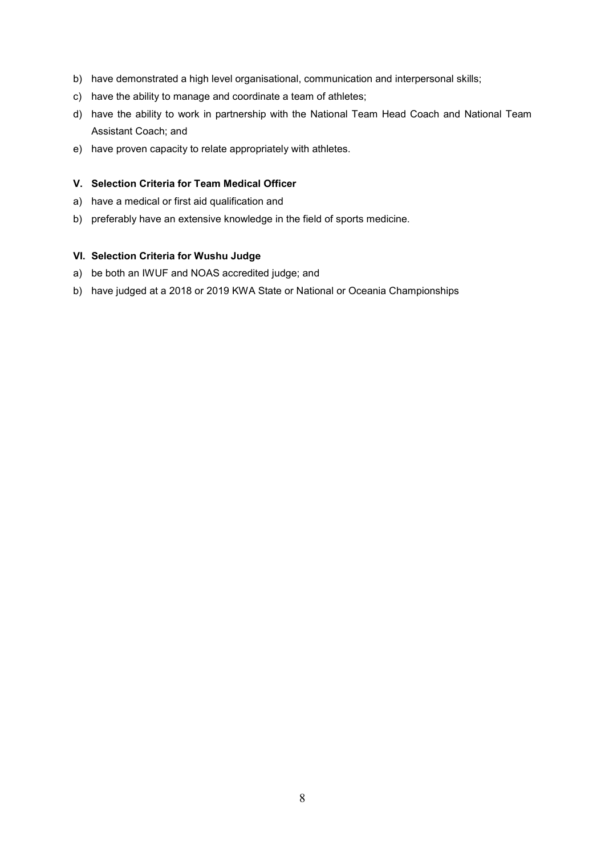- b) have demonstrated a high level organisational, communication and interpersonal skills;
- c) have the ability to manage and coordinate a team of athletes;
- d) have the ability to work in partnership with the National Team Head Coach and National Team Assistant Coach; and
- e) have proven capacity to relate appropriately with athletes.

### **V. Selection Criteria for Team Medical Officer**

- a) have a medical or first aid qualification and
- b) preferably have an extensive knowledge in the field of sports medicine.

#### **VI. Selection Criteria for Wushu Judge**

- a) be both an IWUF and NOAS accredited judge; and
- b) have judged at a 2018 or 2019 KWA State or National or Oceania Championships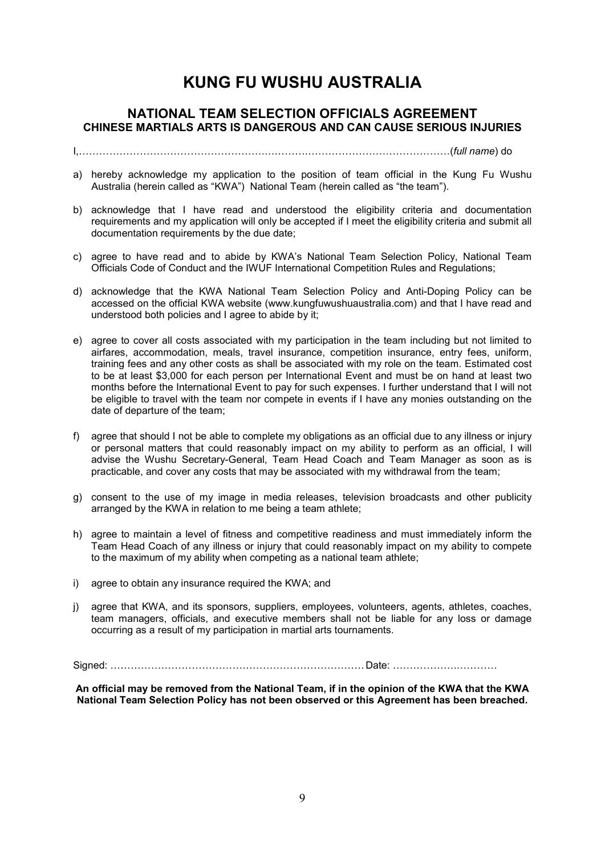## **NATIONAL TEAM SELECTION OFFICIALS AGREEMENT CHINESE MARTIALS ARTS IS DANGEROUS AND CAN CAUSE SERIOUS INJURIES**

I,FFFFFFFFFFFFFFFFFF.FFFF.FFFFFFFFFFFFFF(*full name*) do

- a) hereby acknowledge my application to the position of team official in the Kung Fu Wushu Australia (herein called as "KWA") National Team (herein called as "the team").
- b) acknowledge that I have read and understood the eligibility criteria and documentation requirements and my application will only be accepted if I meet the eligibility criteria and submit all documentation requirements by the due date;
- c) agree to have read and to abide by KWA's National Team Selection Policy, National Team Officials Code of Conduct and the IWUF International Competition Rules and Regulations;
- d) acknowledge that the KWA National Team Selection Policy and Anti-Doping Policy can be accessed on the official KWA website (www.kungfuwushuaustralia.com) and that I have read and understood both policies and I agree to abide by it;
- e) agree to cover all costs associated with my participation in the team including but not limited to airfares, accommodation, meals, travel insurance, competition insurance, entry fees, uniform, training fees and any other costs as shall be associated with my role on the team. Estimated cost to be at least \$3,000 for each person per International Event and must be on hand at least two months before the International Event to pay for such expenses. I further understand that I will not be eligible to travel with the team nor compete in events if I have any monies outstanding on the date of departure of the team;
- f) agree that should I not be able to complete my obligations as an official due to any illness or injury or personal matters that could reasonably impact on my ability to perform as an official, I will advise the Wushu Secretary-General, Team Head Coach and Team Manager as soon as is practicable, and cover any costs that may be associated with my withdrawal from the team;
- g) consent to the use of my image in media releases, television broadcasts and other publicity arranged by the KWA in relation to me being a team athlete;
- h) agree to maintain a level of fitness and competitive readiness and must immediately inform the Team Head Coach of any illness or injury that could reasonably impact on my ability to compete to the maximum of my ability when competing as a national team athlete;
- i) agree to obtain any insurance required the KWA; and
- j) agree that KWA, and its sponsors, suppliers, employees, volunteers, agents, athletes, coaches, team managers, officials, and executive members shall not be liable for any loss or damage occurring as a result of my participation in martial arts tournaments.

Signed: FFFFFFFFFFFFFFFFFFFFFFFFF Date: FFFFFF.FFFF

**An official may be removed from the National Team, if in the opinion of the KWA that the KWA National Team Selection Policy has not been observed or this Agreement has been breached.**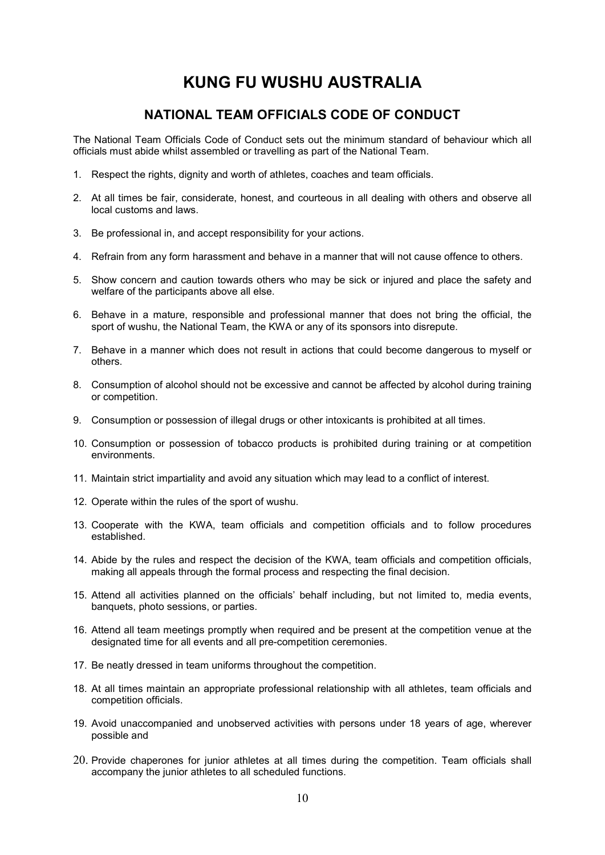## **NATIONAL TEAM OFFICIALS CODE OF CONDUCT**

The National Team Officials Code of Conduct sets out the minimum standard of behaviour which all officials must abide whilst assembled or travelling as part of the National Team.

- 1. Respect the rights, dignity and worth of athletes, coaches and team officials.
- 2. At all times be fair, considerate, honest, and courteous in all dealing with others and observe all local customs and laws.
- 3. Be professional in, and accept responsibility for your actions.
- 4. Refrain from any form harassment and behave in a manner that will not cause offence to others.
- 5. Show concern and caution towards others who may be sick or injured and place the safety and welfare of the participants above all else.
- 6. Behave in a mature, responsible and professional manner that does not bring the official, the sport of wushu, the National Team, the KWA or any of its sponsors into disrepute.
- 7. Behave in a manner which does not result in actions that could become dangerous to myself or others.
- 8. Consumption of alcohol should not be excessive and cannot be affected by alcohol during training or competition.
- 9. Consumption or possession of illegal drugs or other intoxicants is prohibited at all times.
- 10. Consumption or possession of tobacco products is prohibited during training or at competition environments.
- 11. Maintain strict impartiality and avoid any situation which may lead to a conflict of interest.
- 12. Operate within the rules of the sport of wushu.
- 13. Cooperate with the KWA, team officials and competition officials and to follow procedures established.
- 14. Abide by the rules and respect the decision of the KWA, team officials and competition officials, making all appeals through the formal process and respecting the final decision.
- 15. Attend all activities planned on the officials' behalf including, but not limited to, media events, banquets, photo sessions, or parties.
- 16. Attend all team meetings promptly when required and be present at the competition venue at the designated time for all events and all pre-competition ceremonies.
- 17. Be neatly dressed in team uniforms throughout the competition.
- 18. At all times maintain an appropriate professional relationship with all athletes, team officials and competition officials.
- 19. Avoid unaccompanied and unobserved activities with persons under 18 years of age, wherever possible and
- 20. Provide chaperones for junior athletes at all times during the competition. Team officials shall accompany the junior athletes to all scheduled functions.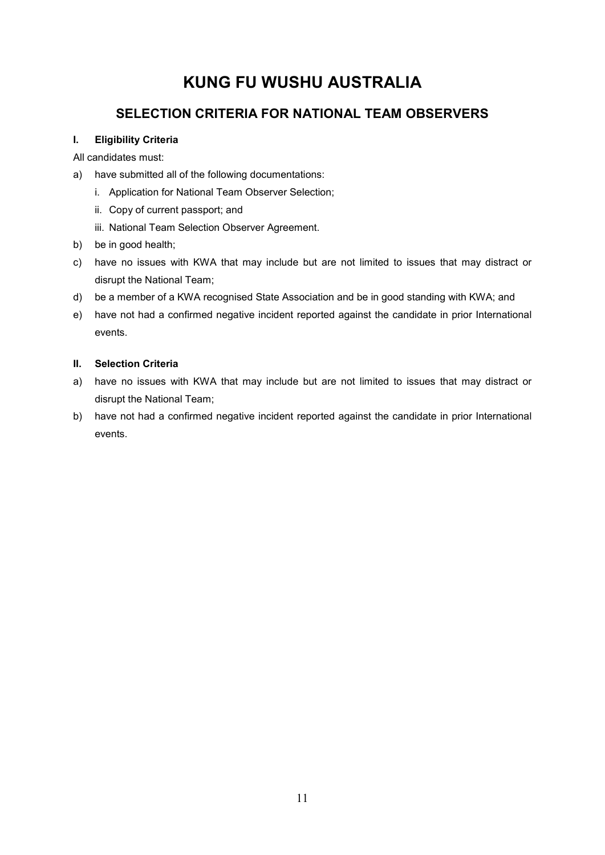## **SELECTION CRITERIA FOR NATIONAL TEAM OBSERVERS**

## **I. Eligibility Criteria**

All candidates must:

- a) have submitted all of the following documentations:
	- i. Application for National Team Observer Selection;
	- ii. Copy of current passport; and
	- iii. National Team Selection Observer Agreement.
- b) be in good health;
- c) have no issues with KWA that may include but are not limited to issues that may distract or disrupt the National Team;
- d) be a member of a KWA recognised State Association and be in good standing with KWA; and
- e) have not had a confirmed negative incident reported against the candidate in prior International events.

## **II. Selection Criteria**

- a) have no issues with KWA that may include but are not limited to issues that may distract or disrupt the National Team;
- b) have not had a confirmed negative incident reported against the candidate in prior International events.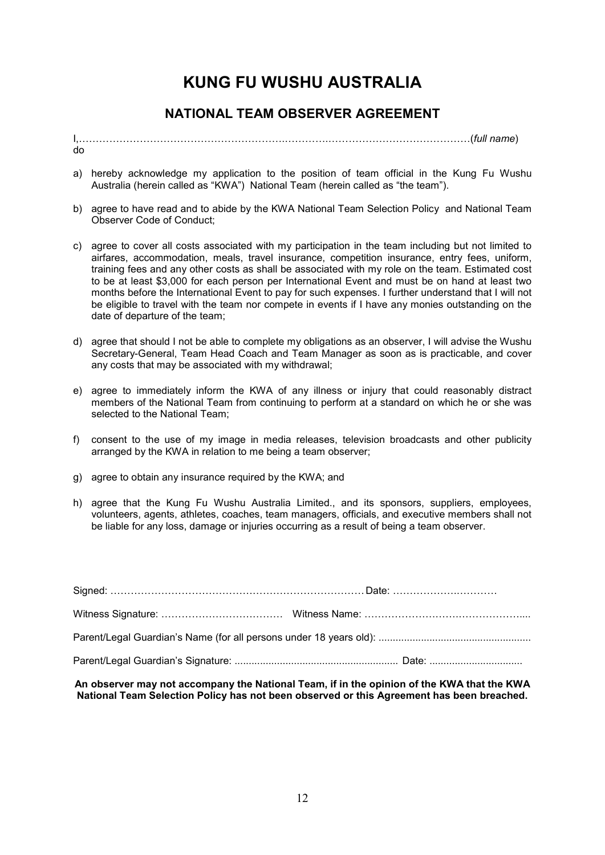## **NATIONAL TEAM OBSERVER AGREEMENT**

I,FFFFFFFFFFFFFFFFFFFF.FFFF.FFFFFFFFFFFFFF(*full name*) do

- a) hereby acknowledge my application to the position of team official in the Kung Fu Wushu Australia (herein called as "KWA") National Team (herein called as "the team").
- b) agree to have read and to abide by the KWA National Team Selection Policy and National Team Observer Code of Conduct;
- c) agree to cover all costs associated with my participation in the team including but not limited to airfares, accommodation, meals, travel insurance, competition insurance, entry fees, uniform, training fees and any other costs as shall be associated with my role on the team. Estimated cost to be at least \$3,000 for each person per International Event and must be on hand at least two months before the International Event to pay for such expenses. I further understand that I will not be eligible to travel with the team nor compete in events if I have any monies outstanding on the date of departure of the team;
- d) agree that should I not be able to complete my obligations as an observer, I will advise the Wushu Secretary-General, Team Head Coach and Team Manager as soon as is practicable, and cover any costs that may be associated with my withdrawal;
- e) agree to immediately inform the KWA of any illness or injury that could reasonably distract members of the National Team from continuing to perform at a standard on which he or she was selected to the National Team;
- f) consent to the use of my image in media releases, television broadcasts and other publicity arranged by the KWA in relation to me being a team observer;
- g) agree to obtain any insurance required by the KWA; and
- h) agree that the Kung Fu Wushu Australia Limited., and its sponsors, suppliers, employees, volunteers, agents, athletes, coaches, team managers, officials, and executive members shall not be liable for any loss, damage or injuries occurring as a result of being a team observer.

**An observer may not accompany the National Team, if in the opinion of the KWA that the KWA National Team Selection Policy has not been observed or this Agreement has been breached.**